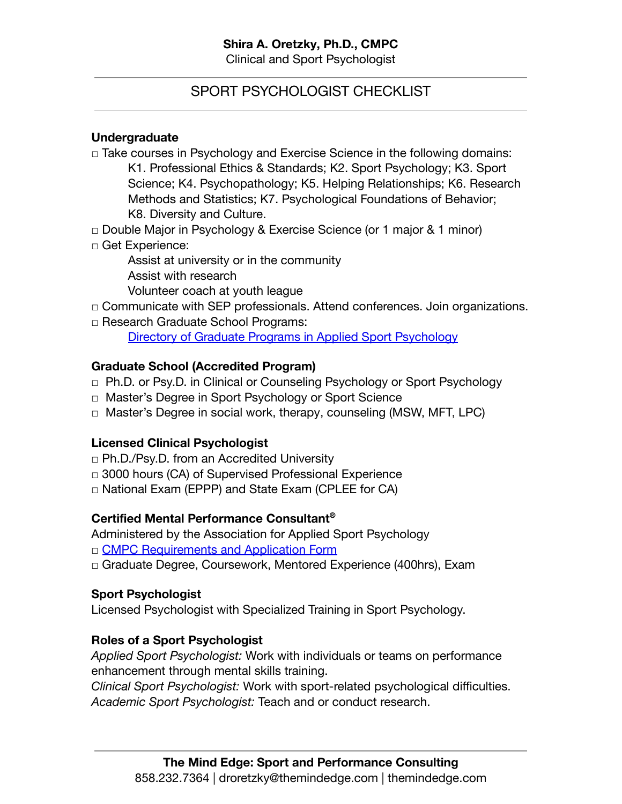## SPORT PSYCHOLOGIST CHECKLIST

## **Undergraduate**

- $\Box$  Take courses in Psychology and Exercise Science in the following domains: K1. Professional Ethics & Standards; K2. Sport Psychology; K3. Sport Science; K4. Psychopathology; K5. Helping Relationships; K6. Research Methods and Statistics; K7. Psychological Foundations of Behavior; K8. Diversity and Culture.
- □ Double Major in Psychology & Exercise Science (or 1 major & 1 minor)
- □ Get Experience:
	- Assist at university or in the community Assist with research
	- Volunteer coach at youth league
- □ Communicate with SEP professionals. Attend conferences. Join organizations.
- □ Research Graduate School Programs:

[Directory of Graduate Programs in Applied Sport Psychology](http://www.appliedsportpsych.org/publications/graduate-program-directory/)

#### **Graduate School (Accredited Program)**

- □ Ph.D. or Psy.D. in Clinical or Counseling Psychology or Sport Psychology
- □ Master's Degree in Sport Psychology or Sport Science
- □ Master's Degree in social work, therapy, counseling (MSW, MFT, LPC)

### **Licensed Clinical Psychologist**

- □ Ph.D./Psy.D. from an Accredited University
- □ 3000 hours (CA) of Supervised Professional Experience
- □ National Exam (EPPP) and State Exam (CPLEE for CA)

### **Certified Mental Performance Consultant®**

- Administered by the Association for Applied Sport Psychology
- □ [CMPC Requirements and Application Form](https://appliedsportpsych.org/certification/application-forms/)
- □ Graduate Degree, Coursework, Mentored Experience (400hrs), Exam

### **Sport Psychologist**

Licensed Psychologist with Specialized Training in Sport Psychology.

### **Roles of a Sport Psychologist**

*Applied Sport Psychologist:* Work with individuals or teams on performance enhancement through mental skills training.

*Clinical Sport Psychologist:* Work with sport-related psychological difficulties. *Academic Sport Psychologist:* Teach and or conduct research.